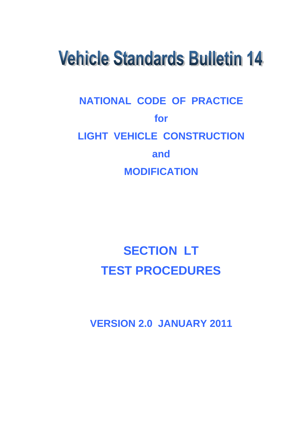# **Vehicle Standards Bulletin 14**

## **NATIONAL CODE OF PRACTICE for LIGHT VEHICLE CONSTRUCTION and MODIFICATION**

## **SECTION LT TEST PROCEDURES**

**VERSION 2.0 JANUARY 2011**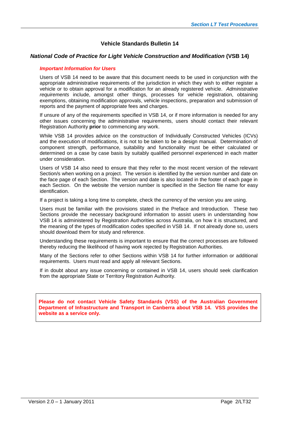#### **Vehicle Standards Bulletin 14**

#### *National Code of Practice for Light Vehicle Construction and Modification* **(VSB 14)**

#### *Important Information for Users*

Users of VSB 14 need to be aware that this document needs to be used in conjunction with the appropriate administrative requirements of the jurisdiction in which they wish to either register a vehicle or to obtain approval for a modification for an already registered vehicle. *Administrative requirements* include, amongst other things, processes for vehicle registration, obtaining exemptions, obtaining modification approvals, vehicle inspections, preparation and submission of reports and the payment of appropriate fees and charges.

If unsure of any of the requirements specified in VSB 14, or if more information is needed for any other issues concerning the administrative requirements, users should contact their relevant Registration Authority **prior** to commencing any work.

While VSB 14 provides advice on the construction of Individually Constructed Vehicles (ICVs) and the execution of modifications, it is not to be taken to be a design manual. Determination of component strength, performance, suitability and functionality must be either calculated or determined on a case by case basis by suitably qualified personnel experienced in each matter under consideration.

Users of VSB 14 also need to ensure that they refer to the most recent version of the relevant Section/s when working on a project. The version is identified by the version number and date on the face page of each Section. The version and date is also located in the footer of each page in each Section. On the website the version number is specified in the Section file name for easy identification.

If a project is taking a long time to complete, check the currency of the version you are using.

Users must be familiar with the provisions stated in the Preface and Introduction. These two Sections provide the necessary background information to assist users in understanding how VSB 14 is administered by Registration Authorities across Australia, on how it is structured, and the meaning of the types of modification codes specified in VSB 14. If not already done so, users should download them for study and reference.

Understanding these requirements is important to ensure that the correct processes are followed thereby reducing the likelihood of having work rejected by Registration Authorities.

Many of the Sections refer to other Sections within VSB 14 for further information or additional requirements. Users must read and apply all relevant Sections.

If in doubt about any issue concerning or contained in VSB 14, users should seek clarification from the appropriate State or Territory Registration Authority.

**Please do not contact Vehicle Safety Standards (VSS) of the Australian Government Department of Infrastructure and Transport in Canberra about VSB 14. VSS provides the website as a service only.**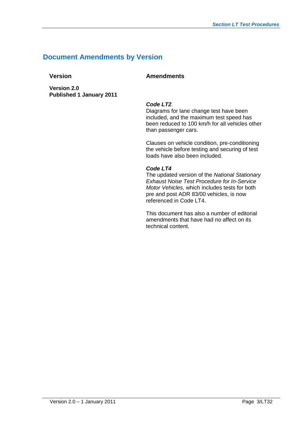## **Document Amendments by Version**

**Version Amendments**

**Version 2.0 Published 1 January 2011**

#### *Code LT2*.

Diagrams for lane change test have been included, and the maximum test speed has been reduced to 100 km/h for all vehicles other than passenger cars.

Clauses on vehicle condition, pre-conditioning the vehicle before testing and securing of test loads have also been included.

#### *Code LT4*

The updated version of the *National Stationary Exhaust Noise Test Procedure for In-Service Motor Vehicles,* which includes tests for both pre and post ADR 83/00 vehicles, is now referenced in Code LT4.

This document has also a number of editorial amendments that have had no affect on its technical content.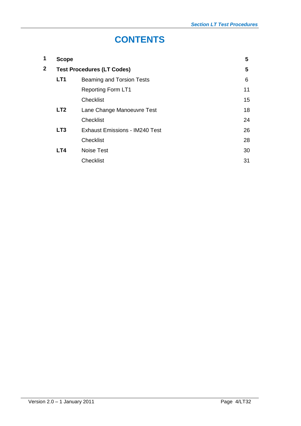## **CONTENTS**

| <b>Scope</b>    |                                       | 5                                 |
|-----------------|---------------------------------------|-----------------------------------|
|                 |                                       | 5                                 |
| LT <sub>1</sub> | Beaming and Torsion Tests             | 6                                 |
|                 | <b>Reporting Form LT1</b>             | 11                                |
|                 | <b>Checklist</b>                      | 15                                |
| LT <sub>2</sub> | Lane Change Manoeuvre Test            | 18                                |
|                 | <b>Checklist</b>                      | 24                                |
| LT <sub>3</sub> | <b>Exhaust Emissions - IM240 Test</b> | 26                                |
|                 | <b>Checklist</b>                      | 28                                |
| LT4             | Noise Test                            | 30                                |
|                 | <b>Checklist</b>                      | 31                                |
|                 |                                       | <b>Test Procedures (LT Codes)</b> |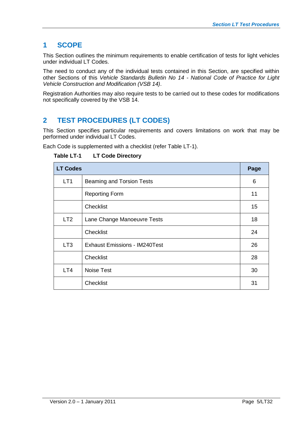## **1 SCOPE**

This Section outlines the minimum requirements to enable certification of tests for light vehicles under individual LT Codes.

The need to conduct any of the individual tests contained in this Section, are specified within other Sections of this *Vehicle Standards Bulletin No 14 - National Code of Practice for Light Vehicle Construction and Modification (VSB 14)*.

Registration Authorities may also require tests to be carried out to these codes for modifications not specifically covered by the VSB 14.

## **2 TEST PROCEDURES (LT CODES)**

This Section specifies particular requirements and covers limitations on work that may be performed under individual LT Codes.

Each Code is supplemented with a checklist (refer Table LT-1).

**Table LT-1 LT Code Directory**

| <b>LT Codes</b> |                                      |    |  |  |  |  |  |  |
|-----------------|--------------------------------------|----|--|--|--|--|--|--|
| LT <sub>1</sub> | Beaming and Torsion Tests            |    |  |  |  |  |  |  |
|                 | <b>Reporting Form</b>                | 11 |  |  |  |  |  |  |
|                 | <b>Checklist</b>                     | 15 |  |  |  |  |  |  |
| LT <sub>2</sub> | Lane Change Manoeuvre Tests          | 18 |  |  |  |  |  |  |
|                 | <b>Checklist</b>                     | 24 |  |  |  |  |  |  |
| LT <sub>3</sub> | <b>Exhaust Emissions - IM240Test</b> | 26 |  |  |  |  |  |  |
|                 | <b>Checklist</b>                     | 28 |  |  |  |  |  |  |
| LT4             | Noise Test                           | 30 |  |  |  |  |  |  |
|                 | <b>Checklist</b>                     | 31 |  |  |  |  |  |  |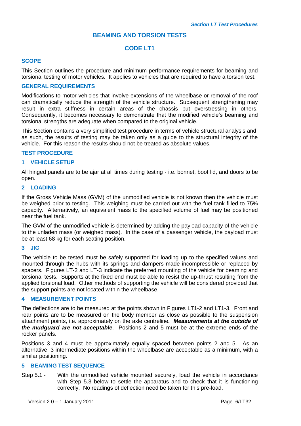#### **BEAMING AND TORSION TESTS**

#### **CODE LT1**

#### **SCOPE**

This Section outlines the procedure and minimum performance requirements for beaming and torsional testing of motor vehicles. It applies to vehicles that are required to have a torsion test.

#### **GENERAL REQUIREMENTS**

Modifications to motor vehicles that involve extensions of the wheelbase or removal of the roof can dramatically reduce the strength of the vehicle structure. Subsequent strengthening may result in extra stiffness in certain areas of the chassis but overstressing in others. Consequently, it becomes necessary to demonstrate that the modified vehicle's beaming and torsional strengths are adequate when compared to the original vehicle.

This Section contains a very simplified test procedure in terms of vehicle structural analysis and, as such, the results of testing may be taken only as a guide to the structural integrity of the vehicle. For this reason the results should not be treated as absolute values.

#### **TEST PROCEDURE**

#### **1 VEHICLE SETUP**

All hinged panels are to be ajar at all times during testing - i.e. bonnet, boot lid, and doors to be open.

#### **2 LOADING**

If the Gross Vehicle Mass (GVM) of the unmodified vehicle is not known then the vehicle must be weighed prior to testing. This weighing must be carried out with the fuel tank filled to 75% capacity. Alternatively, an equivalent mass to the specified volume of fuel may be positioned near the fuel tank.

The GVM of the unmodified vehicle is determined by adding the payload capacity of the vehicle to the unladen mass (or weighed mass). In the case of a passenger vehicle, the payload must be at least 68 kg for each seating position.

#### **3 JIG**

The vehicle to be tested must be safely supported for loading up to the specified values and mounted through the hubs with its springs and dampers made incompressible or replaced by spacers.Figures LT-2 and LT-3 indicate the preferred mounting of the vehicle for beaming and torsional tests. Supports at the fixed end must be able to resist the up-thrust resulting from the applied torsional load. Other methods of supporting the vehicle will be considered provided that the support points are not located within the wheelbase.

#### **4 MEASUREMENT POINTS**

The deflections are to be measured at the points shown in Figures LT1-2 and LT1-3. Front and rear points are to be measured on the body member as close as possible to the suspension attachment points, i.e. approximately on the axle centreline*. Measurements at the outside of the mudguard are not acceptable*. Positions 2 and 5 must be at the extreme ends of the rocker panels.

Positions 3 and 4 must be approximately equally spaced between points 2 and 5. As an alternative, 3 intermediate positions within the wheelbase are acceptable as a minimum, with a similar positioning.

#### **5 BEAMING TEST SEQUENCE**

Step 5.1 - With the unmodified vehicle mounted securely, load the vehicle in accordance with Step 5.3 below to settle the apparatus and to check that it is functioning correctly. No readings of deflection need be taken for this pre-load.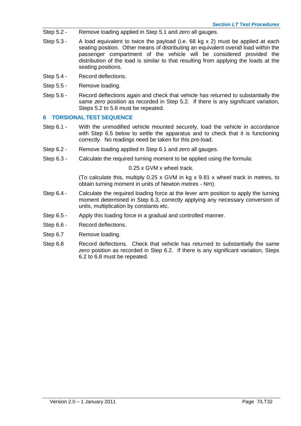- Step 5.2 Remove loading applied in Step 5.1 and *zero* all gauges.
- Step 5.3 A load equivalent to twice the payload (i.e. 68 kg x 2) must be applied at each seating position. Other means of distributing an equivalent overall load within the passenger compartment of the vehicle will be considered provided the distribution of the load is similar to that resulting from applying the loads at the seating positions.
- Step 5.4 Record deflections.
- Step 5.5 Remove loading.
- Step 5.6 Record deflections again and check that vehicle has returned to substantially the same *zero* position as recorded in Step 5.2. If there is any significant variation, Steps 5.2 to 5.6 must be repeated.

#### **6 TORSIONAL TEST SEQUENCE**

- Step 6.1 With the unmodified vehicle mounted securely, load the vehicle in accordance with Step 6.5 below to settle the apparatus and to check that it is functioning correctly. No readings need be taken for this pre-load.
- Step 6.2 Remove loading applied in Step 6.1 and *zero* all gauges.
- Step 6.3 Calculate the required turning moment to be applied using the formula:

#### 0.25 x GVM x wheel track.

(To calculate this, multiply 0.25 x GVM in kg x 9.81 x wheel track in metres, to obtain turning moment in units of Newton metres - Nm).

- Step 6.4 Calculate the required loading force at the lever arm position to apply the turning moment determined in Step 6.3, correctly applying any necessary conversion of units, multiplication by constants etc.
- Step 6.5 Apply this loading force in a gradual and controlled manner.
- Step 6.6 Record deflections.
- Step 6.7 Remove loading.
- Step 6.8 Record deflections. Check that vehicle has returned to substantially the same *zero* position as recorded in Step 6.2. If there is any significant variation, Steps 6.2 to 6.8 must be repeated.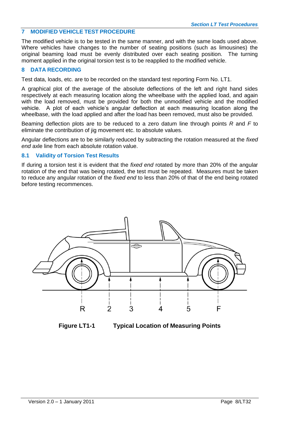#### **7 MODIFIED VEHICLE TEST PROCEDURE**

The modified vehicle is to be tested in the same manner, and with the same loads used above. Where vehicles have changes to the number of seating positions (such as limousines) the original beaming load must be evenly distributed over each seating position. The turning moment applied in the original torsion test is to be reapplied to the modified vehicle.

#### **8 DATA RECORDING**

Test data, loads, etc. are to be recorded on the standard test reporting Form No. LT1.

A graphical plot of the average of the absolute deflections of the left and right hand sides respectively at each measuring location along the wheelbase with the applied load, and again with the load removed, must be provided for both the unmodified vehicle and the modified vehicle. A plot of each vehicle's angular deflection at each measuring location along the wheelbase, with the load applied and after the load has been removed, must also be provided.

Beaming deflection plots are to be reduced to a zero datum line through points *R* and *F* to eliminate the contribution of jig movement etc. to absolute values.

Angular deflections are to be similarly reduced by subtracting the rotation measured at the *fixed end* axle line from each absolute rotation value.

#### **8.1 Validity of Torsion Test Results**

If during a torsion test it is evident that the *fixed end* rotated by more than 20% of the angular rotation of the end that was being rotated, the test must be repeated. Measures must be taken to reduce any angular rotation of the *fixed end* to less than 20% of that of the end being rotated before testing recommences.



**Figure LT1-1 Typical Location of Measuring Points**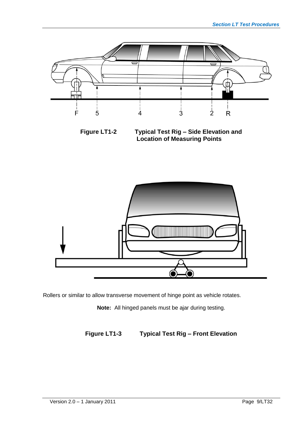

**Figure LT1-2 Typical Test Rig – Side Elevation and Location of Measuring Points**



Rollers or similar to allow transverse movement of hinge point as vehicle rotates.

**Note:** All hinged panels must be ajar during testing.

**Figure LT1-3 Typical Test Rig – Front Elevation**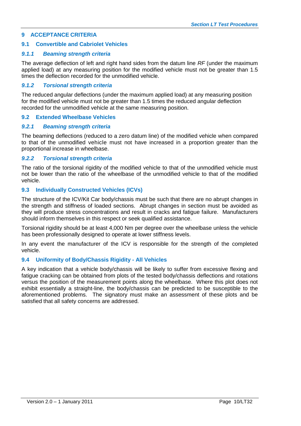#### **9 ACCEPTANCE CRITERIA**

#### **9.1 Convertible and Cabriolet Vehicles**

#### *9.1.1 Beaming strength criteria*

The average deflection of left and right hand sides from the datum line *RF* (under the maximum applied load) at any measuring position for the modified vehicle must not be greater than 1.5 times the deflection recorded for the unmodified vehicle.

#### *9.1.2 Torsional strength criteria*

The reduced angular deflections (under the maximum applied load) at any measuring position for the modified vehicle must not be greater than 1.5 times the reduced angular deflection recorded for the unmodified vehicle at the same measuring position.

#### **9.2 Extended Wheelbase Vehicles**

#### *9.2.1 Beaming strength criteria*

The beaming deflections (reduced to a zero datum line) of the modified vehicle when compared to that of the unmodified vehicle must not have increased in a proportion greater than the proportional increase in wheelbase.

#### *9.2.2 Torsional strength criteria*

The ratio of the torsional rigidity of the modified vehicle to that of the unmodified vehicle must not be lower than the ratio of the wheelbase of the unmodified vehicle to that of the modified vehicle.

#### **9.3 Individually Constructed Vehicles (ICVs)**

The structure of the ICV/Kit Car body/chassis must be such that there are no abrupt changes in the strength and stiffness of loaded sections. Abrupt changes in section must be avoided as they will produce stress concentrations and result in cracks and fatigue failure. Manufacturers should inform themselves in this respect or seek qualified assistance.

Torsional rigidity should be at least 4,000 Nm per degree over the wheelbase unless the vehicle has been professionally designed to operate at lower stiffness levels.

In any event the manufacturer of the ICV is responsible for the strength of the completed vehicle.

#### **9.4 Uniformity of Body/Chassis Rigidity - All Vehicles**

A key indication that a vehicle body/chassis will be likely to suffer from excessive flexing and fatigue cracking can be obtained from plots of the tested body/chassis deflections and rotations versus the position of the measurement points along the wheelbase. Where this plot does not exhibit essentially a straight-line, the body/chassis can be predicted to be susceptible to the aforementioned problems. The signatory must make an assessment of these plots and be satisfied that all safety concerns are addressed.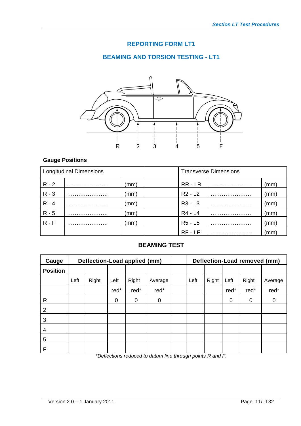## **REPORTING FORM LT1**

## **BEAMING AND TORSION TESTING - LT1**



## **Gauge Positions**

|         | <b>Longitudinal Dimensions</b> |      | <b>Transverse Dimensions</b> |  |              |  |  |
|---------|--------------------------------|------|------------------------------|--|--------------|--|--|
| $R - 2$ |                                | (mm) | RR-LR                        |  | (mm)         |  |  |
| $R - 3$ |                                | (mm) | $R2 - L2$                    |  | (mm)         |  |  |
| $R - 4$ |                                | (mm) | $R3 - L3$                    |  | (mm)         |  |  |
| $R - 5$ |                                | (mm) | R4 - L4                      |  | (mm)         |  |  |
| $R - F$ |                                | (mm) | R5 - L5                      |  | $\pmb{(mm)}$ |  |  |
|         |                                |      | RF - LF                      |  | mm)          |  |  |

#### **BEAMING TEST**

| Gauge           |      | Deflection-Load applied (mm) |      |        |         |                                            |      |               |             | Deflection-Load removed (mm) |         |
|-----------------|------|------------------------------|------|--------|---------|--------------------------------------------|------|---------------|-------------|------------------------------|---------|
| <b>Position</b> |      |                              |      |        |         |                                            |      |               |             |                              |         |
|                 | Left | Right                        | Left | Right  | Average |                                            | Left | Right         | Left        | Right                        | Average |
|                 |      |                              | red* | red*   | red*    |                                            |      |               | red*        | red*                         | red*    |
| R               |      |                              | 0    | 0      | 0       |                                            |      |               | $\mathbf 0$ | 0                            | 0       |
| 2               |      |                              |      |        |         |                                            |      |               |             |                              |         |
| 3               |      |                              |      |        |         |                                            |      |               |             |                              |         |
| 4               |      |                              |      |        |         |                                            |      |               |             |                              |         |
| 5               |      |                              |      |        |         |                                            |      |               |             |                              |         |
| F               |      | $\mathbf{r} = \mathbf{r}$    |      | $\sim$ | .       | $\mathbf{r}$ , and the set of $\mathbf{r}$ |      | $\sim$ $\sim$ | $\cdot$ $-$ |                              |         |

*\*Deflections reduced to datum line through points R and F.*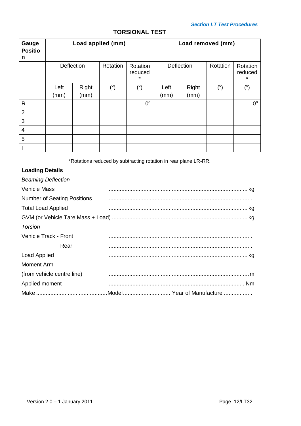## **TORSIONAL TEST**

| Gauge<br><b>Positio</b><br>n |              |               | Load applied (mm) |                                |              |               | Load removed (mm) |                                |
|------------------------------|--------------|---------------|-------------------|--------------------------------|--------------|---------------|-------------------|--------------------------------|
|                              | Deflection   |               | Rotation          | Rotation<br>reduced<br>$\star$ | Deflection   |               | Rotation          | Rotation<br>reduced<br>$\star$ |
|                              | Left<br>(mm) | Right<br>(mm) | $(^\circ)$        | $(^\circ)$                     | Left<br>(mm) | Right<br>(mm) | $(^\circ)$        | $(^\circ)$                     |
| $\mathsf{R}$                 |              |               |                   | $0^{\circ}$                    |              |               |                   | $0^{\circ}$                    |
| $\overline{2}$               |              |               |                   |                                |              |               |                   |                                |
| 3                            |              |               |                   |                                |              |               |                   |                                |
| $\overline{4}$               |              |               |                   |                                |              |               |                   |                                |
| 5                            |              |               |                   |                                |              |               |                   |                                |
| $\mathsf F$                  |              |               |                   |                                |              |               |                   |                                |

\*Rotations reduced by subtracting rotation in rear plane LR-RR.

## **Loading Details**

| <b>Beaming Deflection</b>          |  |
|------------------------------------|--|
| <b>Vehicle Mass</b>                |  |
| <b>Number of Seating Positions</b> |  |
| <b>Total Load Applied</b>          |  |
|                                    |  |
| Torsion                            |  |
| Vehicle Track - Front              |  |
| Rear                               |  |
| <b>Load Applied</b>                |  |
| Moment Arm                         |  |
| (from vehicle centre line)         |  |
| Applied moment                     |  |
|                                    |  |

Ξ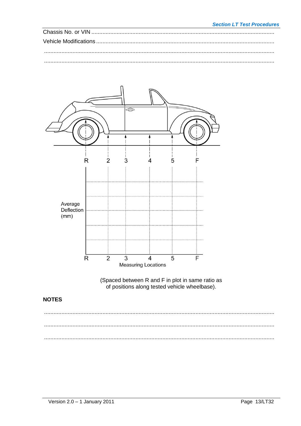#### **Section LT Test Procedures**



(Spaced between R and F in plot in same ratio as<br>of positions along tested vehicle wheelbase).

## **NOTES**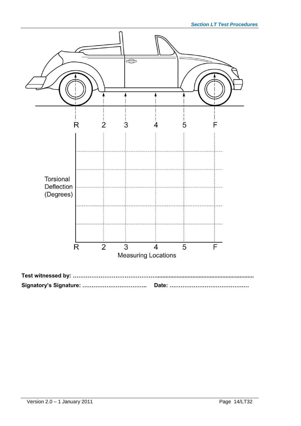

**Signatory's Signature: …………………………….. Date: ………………………………….…**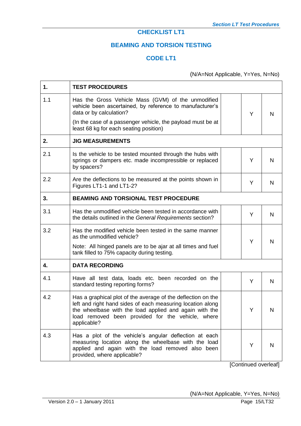## **CHECKLIST LT1**

## **BEAMING AND TORSION TESTING**

## **CODE LT1**

(N/A=Not Applicable, Y=Yes, N=No)

| 1.  | <b>TEST PROCEDURES</b>                                                                                                                                                                                                                                   |   |   |
|-----|----------------------------------------------------------------------------------------------------------------------------------------------------------------------------------------------------------------------------------------------------------|---|---|
| 1.1 | Has the Gross Vehicle Mass (GVM) of the unmodified<br>vehicle been ascertained, by reference to manufacturer's<br>data or by calculation?                                                                                                                | Y | N |
|     | (In the case of a passenger vehicle, the payload must be at<br>least 68 kg for each seating position)                                                                                                                                                    |   |   |
| 2.  | <b>JIG MEASUREMENTS</b>                                                                                                                                                                                                                                  |   |   |
| 2.1 | Is the vehicle to be tested mounted through the hubs with<br>springs or dampers etc. made incompressible or replaced<br>by spacers?                                                                                                                      | Y | N |
| 2.2 | Are the deflections to be measured at the points shown in<br>Figures LT1-1 and LT1-2?                                                                                                                                                                    | Y | N |
| 3.  | <b>BEAMING AND TORSIONAL TEST PROCEDURE</b>                                                                                                                                                                                                              |   |   |
| 3.1 | Has the unmodified vehicle been tested in accordance with<br>the details outlined in the General Requirements section?                                                                                                                                   | Y | N |
| 3.2 | Has the modified vehicle been tested in the same manner<br>as the unmodified vehicle?                                                                                                                                                                    | Y | N |
|     | Note: All hinged panels are to be ajar at all times and fuel<br>tank filled to 75% capacity during testing.                                                                                                                                              |   |   |
| 4.  | <b>DATA RECORDING</b>                                                                                                                                                                                                                                    |   |   |
| 4.1 | Have all test data, loads etc. been recorded on the<br>standard testing reporting forms?                                                                                                                                                                 | Y | N |
| 4.2 | Has a graphical plot of the average of the deflection on the<br>left and right hand sides of each measuring location along<br>the wheelbase with the load applied and again with the<br>load removed been provided for the vehicle, where<br>applicable? |   | N |
| 4.3 | Has a plot of the vehicle's angular deflection at each<br>measuring location along the wheelbase with the load<br>applied and again with the load removed also been<br>provided, where applicable?                                                       | Y | N |

[Continued overleaf]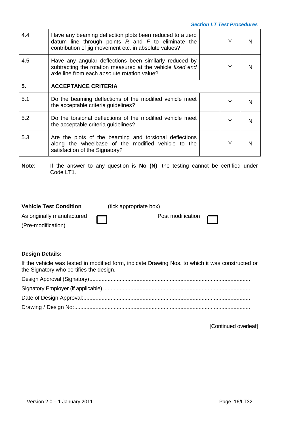| 4.4 | Have any beaming deflection plots been reduced to a zero<br>datum line through points $R$ and $F$ to eliminate the<br>contribution of jig movement etc. in absolute values? | Υ |  |
|-----|-----------------------------------------------------------------------------------------------------------------------------------------------------------------------------|---|--|
| 4.5 | Have any angular deflections been similarly reduced by<br>subtracting the rotation measured at the vehicle fixed end<br>axle line from each absolute rotation value?        |   |  |
| 5.  | <b>ACCEPTANCE CRITERIA</b>                                                                                                                                                  |   |  |
| 5.1 | Do the beaming deflections of the modified vehicle meet<br>the acceptable criteria guidelines?                                                                              | Υ |  |
| 5.2 | Do the torsional deflections of the modified vehicle meet<br>the acceptable criteria guidelines?                                                                            | Y |  |
| 5.3 | Are the plots of the beaming and torsional deflections<br>along the wheelbase of the modified vehicle to the<br>satisfaction of the Signatory?                              |   |  |

**Note:** If the answer to any question is **No (N)**, the testing cannot be certified under Code LT1.

| <b>Vehicle Test Condition</b>                    | (tick appropriate box)   |  |
|--------------------------------------------------|--------------------------|--|
| As originally manufactured<br>(Pre-modification) | Post modification $\Box$ |  |

## **Design Details:**

If the vehicle was tested in modified form, indicate Drawing Nos. to which it was constructed or the Signatory who certifies the design.

[Continued overleaf]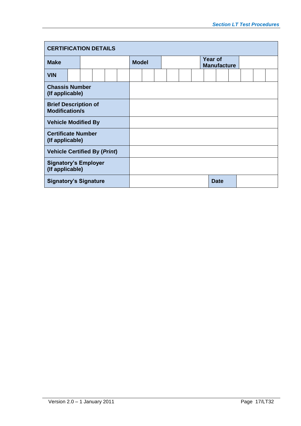| <b>CERTIFICATION DETAILS</b>                         |  |  |  |  |  |              |  |  |  |  |  |                                      |             |  |  |  |
|------------------------------------------------------|--|--|--|--|--|--------------|--|--|--|--|--|--------------------------------------|-------------|--|--|--|
| <b>Make</b>                                          |  |  |  |  |  | <b>Model</b> |  |  |  |  |  | <b>Year of</b><br><b>Manufacture</b> |             |  |  |  |
| <b>VIN</b>                                           |  |  |  |  |  |              |  |  |  |  |  |                                      |             |  |  |  |
| <b>Chassis Number</b><br>(If applicable)             |  |  |  |  |  |              |  |  |  |  |  |                                      |             |  |  |  |
| <b>Brief Description of</b><br><b>Modification/s</b> |  |  |  |  |  |              |  |  |  |  |  |                                      |             |  |  |  |
| <b>Vehicle Modified By</b>                           |  |  |  |  |  |              |  |  |  |  |  |                                      |             |  |  |  |
| <b>Certificate Number</b><br>(If applicable)         |  |  |  |  |  |              |  |  |  |  |  |                                      |             |  |  |  |
| <b>Vehicle Certified By (Print)</b>                  |  |  |  |  |  |              |  |  |  |  |  |                                      |             |  |  |  |
| <b>Signatory's Employer</b><br>(If applicable)       |  |  |  |  |  |              |  |  |  |  |  |                                      |             |  |  |  |
| <b>Signatory's Signature</b>                         |  |  |  |  |  |              |  |  |  |  |  |                                      | <b>Date</b> |  |  |  |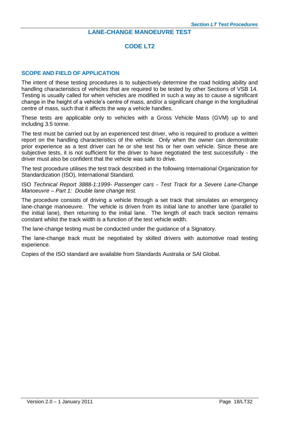#### **LANE-CHANGE MANOEUVRE TEST**

#### **CODE LT2**

#### **SCOPE AND FIELD OF APPLICATION**

The intent of these testing procedures is to subjectively determine the road holding ability and handling characteristics of vehicles that are required to be tested by other Sections of VSB 14. Testing is usually called for when vehicles are modified in such a way as to cause a significant change in the height of a vehicle's centre of mass, and/or a significant change in the longitudinal centre of mass, such that it affects the way a vehicle handles.

These tests are applicable only to vehicles with a Gross Vehicle Mass (GVM) up to and including 3.5 tonne.

The test must be carried out by an experienced test driver, who is required to produce a written report on the handling characteristics of the vehicle. Only when the owner can demonstrate prior experience as a test driver can he or she test his or her own vehicle. Since these are subjective tests, it is not sufficient for the driver to have negotiated the test successfully - the driver must also be confident that the vehicle was safe to drive.

The test procedure utilises the test track described in the following International Organization for Standardization (ISO), International Standard.

ISO *Technical Report 3888-1:1999- Passenger cars - Test Track for a Severe Lane-Change Manoeuvre – Part 1: Double lane change test.*

The procedure consists of driving a vehicle through a set track that simulates an emergency lane-change manoeuvre. The vehicle is driven from its initial lane to another lane (parallel to the initial lane), then returning to the initial lane. The length of each track section remains constant whilst the track width is a function of the test vehicle width.

The lane-change testing must be conducted under the guidance of a Signatory.

The lane-change track must be negotiated by skilled drivers with automotive road testing experience.

Copies of the ISO standard are available from Standards Australia or SAI Global.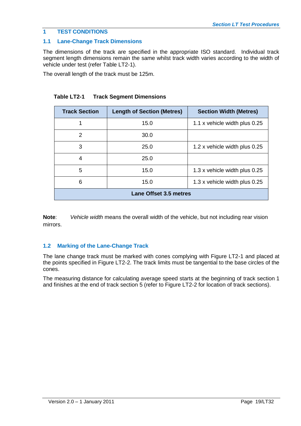## **1 TEST CONDITIONS**

### **1.1 Lane-Change Track Dimensions**

The dimensions of the track are specified in the appropriate ISO standard. Individual track segment length dimensions remain the same whilst track width varies according to the width of vehicle under test (refer Table LT2-1).

The overall length of the track must be 125m.

| <b>Track Section</b>          | <b>Length of Section (Metres)</b> | <b>Section Width (Metres)</b> |  |  |  |  |  |  |  |  |
|-------------------------------|-----------------------------------|-------------------------------|--|--|--|--|--|--|--|--|
|                               | 15.0                              | 1.1 x vehicle width plus 0.25 |  |  |  |  |  |  |  |  |
| 2                             | 30.0                              |                               |  |  |  |  |  |  |  |  |
| 3                             | 25.0                              | 1.2 x vehicle width plus 0.25 |  |  |  |  |  |  |  |  |
| 4                             | 25.0                              |                               |  |  |  |  |  |  |  |  |
| 5                             | 15.0                              | 1.3 x vehicle width plus 0.25 |  |  |  |  |  |  |  |  |
| 6                             | 15.0                              | 1.3 x vehicle width plus 0.25 |  |  |  |  |  |  |  |  |
| <b>Lane Offset 3.5 metres</b> |                                   |                               |  |  |  |  |  |  |  |  |

**Note**: *Vehicle width* means the overall width of the vehicle, but not including rear vision mirrors.

## **1.2 Marking of the Lane-Change Track**

The lane change track must be marked with cones complying with Figure LT2-1 and placed at the points specified in Figure LT2-2. The track limits must be tangential to the base circles of the cones.

The measuring distance for calculating average speed starts at the beginning of track section 1 and finishes at the end of track section 5 (refer to Figure LT2-2 for location of track sections).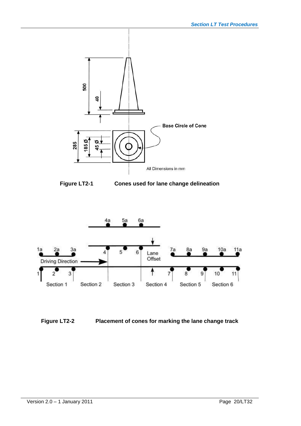





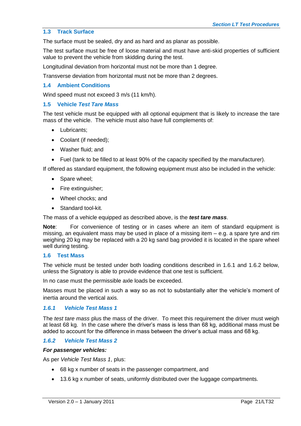#### **1.3 Track Surface**

The surface must be sealed, dry and as hard and as planar as possible.

The test surface must be free of loose material and must have anti-skid properties of sufficient value to prevent the vehicle from skidding during the test.

Longitudinal deviation from horizontal must not be more than 1 degree.

Transverse deviation from horizontal must not be more than 2 degrees.

#### **1.4 Ambient Conditions**

Wind speed must not exceed 3 m/s (11 km/h).

#### **1.5 Vehicle** *Test Tare Mass*

The test vehicle must be equipped with all optional equipment that is likely to increase the tare mass of the vehicle. The vehicle must also have full complements of:

- Lubricants:
- Coolant (if needed);
- Washer fluid; and
- Fuel (tank to be filled to at least 90% of the capacity specified by the manufacturer).

If offered as standard equipment, the following equipment must also be included in the vehicle:

- Spare wheel;
- Fire extinguisher;
- Wheel chocks: and
- Standard tool-kit.

The mass of a vehicle equipped as described above, is the *test tare mass*.

**Note**: For convenience of testing or in cases where an item of standard equipment is missing, an equivalent mass may be used in place of a missing item – e.g. a spare tyre and rim weighing 20 kg may be replaced with a 20 kg sand bag provided it is located in the spare wheel well during testing.

#### **1.6 Test Mass**

The vehicle must be tested under both loading conditions described in 1.6.1 and 1.6.2 below, unless the Signatory is able to provide evidence that one test is sufficient.

In no case must the permissible axle loads be exceeded.

Masses must be placed in such a way so as not to substantially alter the vehicle's moment of inertia around the vertical axis.

#### *1.6.1 Vehicle Test Mass 1*

The *test tare mass* plus the mass of the driver. To meet this requirement the driver must weigh at least 68 kg. In the case where the driver's mass is less than 68 kg, additional mass must be added to account for the difference in mass between the driver's actual mass and 68 kg.

#### *1.6.2 Vehicle Test Mass 2*

#### *For passenger vehicles:*

As per *Vehicle Test Mass 1*, plus:

- 68 kg x number of seats in the passenger compartment, and
- 13.6 kg x number of seats, uniformly distributed over the luggage compartments.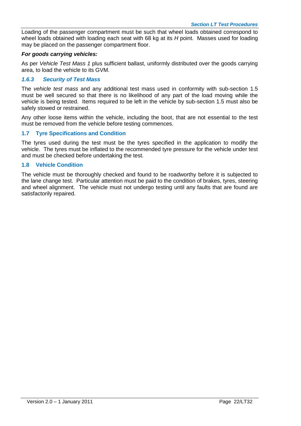Loading of the passenger compartment must be such that wheel loads obtained correspond to wheel loads obtained with loading each seat with 68 kg at its *H* point. Masses used for loading may be placed on the passenger compartment floor.

#### *For goods carrying vehicles:*

As per *Vehicle Test Mass 1* plus sufficient ballast, uniformly distributed over the goods carrying area, to load the vehicle to its GVM.

#### *1.6.3 Security of Test Mass*

The *vehicle test mass* and any additional test mass used in conformity with sub-section 1.5 must be well secured so that there is no likelihood of any part of the load moving while the vehicle is being tested. Items required to be left in the vehicle by sub-section 1.5 must also be safely stowed or restrained.

Any other loose items within the vehicle, including the boot, that are not essential to the test must be removed from the vehicle before testing commences.

#### **1.7 Tyre Specifications and Condition**

The tyres used during the test must be the tyres specified in the application to modify the vehicle. The tyres must be inflated to the recommended tyre pressure for the vehicle under test and must be checked before undertaking the test.

#### **1.8 Vehicle Condition**

The vehicle must be thoroughly checked and found to be roadworthy before it is subjected to the lane change test. Particular attention must be paid to the condition of brakes, tyres, steering and wheel alignment. The vehicle must not undergo testing until any faults that are found are satisfactorily repaired.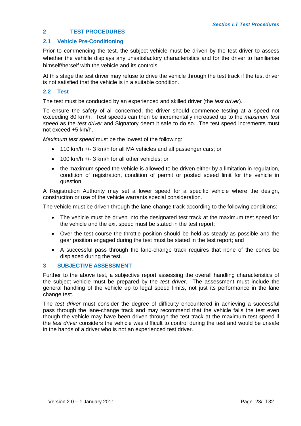### **2 TEST PROCEDURES**

#### **2.1 Vehicle Pre-Conditioning**

Prior to commencing the test, the subject vehicle must be driven by the test driver to assess whether the vehicle displays any unsatisfactory characteristics and for the driver to familiarise himself/herself with the vehicle and its controls.

At this stage the test driver may refuse to drive the vehicle through the test track if the test driver is not satisfied that the vehicle is in a suitable condition.

#### **2.2 Test**

The test must be conducted by an experienced and skilled driver (the *test driver*).

To ensure the safety of all concerned, the driver should commence testing at a speed not exceeding 80 km/h. Test speeds can then be incrementally increased up to the *maximum test speed* as the *test driver* and Signatory deem it safe to do so. The test speed increments must not exceed +5 km/h.

*Maximum test speed* must be the lowest of the following:

- 110 km/h +/- 3 km/h for all MA vehicles and all passenger cars; or
- $\cdot$  100 km/h  $+/-$  3 km/h for all other vehicles; or
- the maximum speed the vehicle is allowed to be driven either by a limitation in regulation, condition of registration, condition of permit or posted speed limit for the vehicle in question.

A Registration Authority may set a lower speed for a specific vehicle where the design, construction or use of the vehicle warrants special consideration.

The vehicle must be driven through the lane-change track according to the following conditions:

- The vehicle must be driven into the designated test track at the maximum test speed for the vehicle and the exit speed must be stated in the test report;
- Over the test course the throttle position should be held as steady as possible and the gear position engaged during the test must be stated in the test report; and
- A successful pass through the lane-change track requires that none of the cones be displaced during the test.

#### **3 SUBJECTIVE ASSESSMENT**

Further to the above test, a subjective report assessing the overall handling characteristics of the subject vehicle must be prepared by the *test driver*. The assessment must include the general handling of the vehicle up to legal speed limits, not just its performance in the lane change test.

The *test driver* must consider the degree of difficulty encountered in achieving a successful pass through the lane-change track and may recommend that the vehicle fails the test even though the vehicle may have been driven through the test track at the maximum test speed if the *test driver* considers the vehicle was difficult to control during the test and would be unsafe in the hands of a driver who is not an experienced test driver.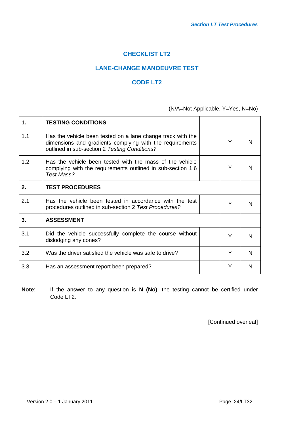## **CHECKLIST LT2**

## **LANE-CHANGE MANOEUVRE TEST**

## **CODE LT2**

## (N/A=Not Applicable, Y=Yes, N=No)

| 1.  | <b>TESTING CONDITIONS</b>                                                                                                                                                |   |   |
|-----|--------------------------------------------------------------------------------------------------------------------------------------------------------------------------|---|---|
| 1.1 | Has the vehicle been tested on a lane change track with the<br>dimensions and gradients complying with the requirements<br>outlined in sub-section 2 Testing Conditions? | Y | N |
| 1.2 | Has the vehicle been tested with the mass of the vehicle<br>complying with the requirements outlined in sub-section 1.6<br>Test Mass?                                    | Y | N |
| 2.  | <b>TEST PROCEDURES</b>                                                                                                                                                   |   |   |
| 2.1 | Has the vehicle been tested in accordance with the test<br>procedures outlined in sub-section 2 Test Procedures?                                                         | Y | N |
| 3.  | <b>ASSESSMENT</b>                                                                                                                                                        |   |   |
| 3.1 | Did the vehicle successfully complete the course without<br>dislodging any cones?                                                                                        | Y | N |
| 3.2 | Was the driver satisfied the vehicle was safe to drive?                                                                                                                  | Y | N |
| 3.3 | Has an assessment report been prepared?                                                                                                                                  | Y | N |

**Note**: If the answer to any question is **N (No)**, the testing cannot be certified under Code LT2.

[Continued overleaf]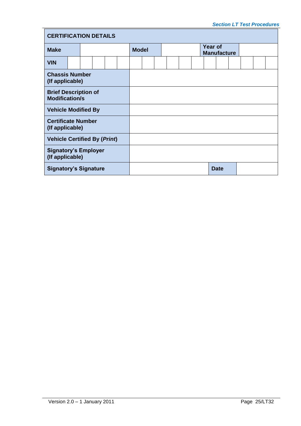| <b>CERTIFICATION DETAILS</b>                         |  |  |  |              |  |  |  |  |  |                               |  |  |             |  |  |  |  |  |
|------------------------------------------------------|--|--|--|--------------|--|--|--|--|--|-------------------------------|--|--|-------------|--|--|--|--|--|
| <b>Make</b>                                          |  |  |  | <b>Model</b> |  |  |  |  |  | Year of<br><b>Manufacture</b> |  |  |             |  |  |  |  |  |
| <b>VIN</b>                                           |  |  |  |              |  |  |  |  |  |                               |  |  |             |  |  |  |  |  |
| <b>Chassis Number</b><br>(If applicable)             |  |  |  |              |  |  |  |  |  |                               |  |  |             |  |  |  |  |  |
| <b>Brief Description of</b><br><b>Modification/s</b> |  |  |  |              |  |  |  |  |  |                               |  |  |             |  |  |  |  |  |
| <b>Vehicle Modified By</b>                           |  |  |  |              |  |  |  |  |  |                               |  |  |             |  |  |  |  |  |
| <b>Certificate Number</b><br>(If applicable)         |  |  |  |              |  |  |  |  |  |                               |  |  |             |  |  |  |  |  |
| <b>Vehicle Certified By (Print)</b>                  |  |  |  |              |  |  |  |  |  |                               |  |  |             |  |  |  |  |  |
| <b>Signatory's Employer</b><br>(If applicable)       |  |  |  |              |  |  |  |  |  |                               |  |  |             |  |  |  |  |  |
| <b>Signatory's Signature</b>                         |  |  |  |              |  |  |  |  |  |                               |  |  | <b>Date</b> |  |  |  |  |  |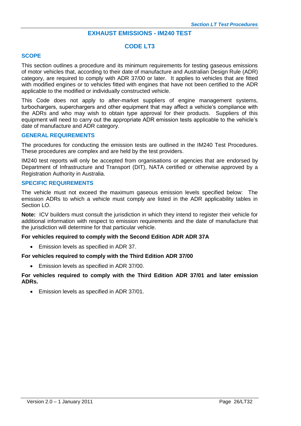#### **EXHAUST EMISSIONS - IM240 TEST**

#### **CODE LT3**

#### **SCOPE**

This section outlines a procedure and its minimum requirements for testing gaseous emissions of motor vehicles that, according to their date of manufacture and Australian Design Rule (ADR) category, are required to comply with ADR 37/00 or later. It applies to vehicles that are fitted with modified engines or to vehicles fitted with engines that have not been certified to the ADR applicable to the modified or individually constructed vehicle.

This Code does not apply to after-market suppliers of engine management systems, turbochargers, superchargers and other equipment that may affect a vehicle's compliance with the ADRs and who may wish to obtain type approval for their products. Suppliers of this equipment will need to carry out the appropriate ADR emission tests applicable to the vehicle's date of manufacture and ADR category.

#### **GENERAL REQUIREMENTS**

The procedures for conducting the emission tests are outlined in the IM240 Test Procedures. These procedures are complex and are held by the test providers.

IM240 test reports will only be accepted from organisations or agencies that are endorsed by Department of Infrastructure and Transport (DIT), NATA certified or otherwise approved by a Registration Authority in Australia.

#### **SPECIFIC REQUIREMENTS**

The vehicle must not exceed the maximum gaseous emission levels specified below: The emission ADRs to which a vehicle must comply are listed in the ADR applicability tables in Section LO.

**Note:** ICV builders must consult the jurisdiction in which they intend to register their vehicle for additional information with respect to emission requirements and the date of manufacture that the jurisdiction will determine for that particular vehicle.

#### **For vehicles required to comply with the Second Edition ADR ADR 37A**

Emission levels as specified in ADR 37.

#### **For vehicles required to comply with the Third Edition ADR 37/00**

Emission levels as specified in ADR 37/00.

#### **For vehicles required to comply with the Third Edition ADR 37/01 and later emission ADRs.**

Emission levels as specified in ADR 37/01.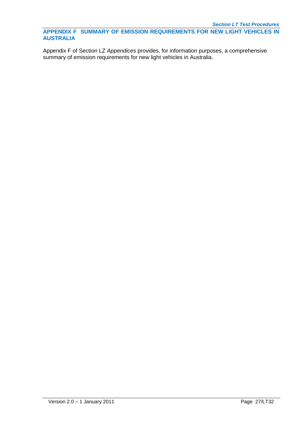**APPENDIX F SUMMARY OF EMISSION REQUIREMENTS FOR NEW LIGHT VEHICLES IN AUSTRALIA** 

Appendix F of Section LZ *Appendices* provides, for information purposes, a comprehensive summary of emission requirements for new light vehicles in Australia.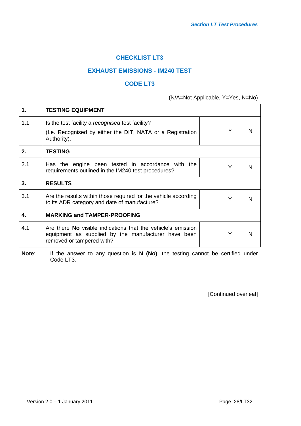## **CHECKLIST LT3**

## **EXHAUST EMISSIONS - IM240 TEST**

#### **CODE LT3**

(N/A=Not Applicable, Y=Yes, N=No)

| 1.  | <b>TESTING EQUIPMENT</b>                                                                                                                                |   |   |
|-----|---------------------------------------------------------------------------------------------------------------------------------------------------------|---|---|
| 1.1 | Is the test facility a recognised test facility?                                                                                                        |   |   |
|     | (I.e. Recognised by either the DIT, NATA or a Registration<br>Authority).                                                                               | Y | N |
| 2.  | <b>TESTING</b>                                                                                                                                          |   |   |
| 2.1 | Has the engine been tested in accordance with the<br>requirements outlined in the IM240 test procedures?                                                | Υ | N |
| 3.  | <b>RESULTS</b>                                                                                                                                          |   |   |
| 3.1 | Are the results within those required for the vehicle according<br>to its ADR category and date of manufacture?                                         | Y | N |
| 4.  | <b>MARKING and TAMPER-PROOFING</b>                                                                                                                      |   |   |
| 4.1 | Are there <b>No</b> visible indications that the vehicle's emission<br>equipment as supplied by the manufacturer have been<br>removed or tampered with? | Y | N |

**Note:** If the answer to any question is **N** (No), the testing cannot be certified under Code LT3.

[Continued overleaf]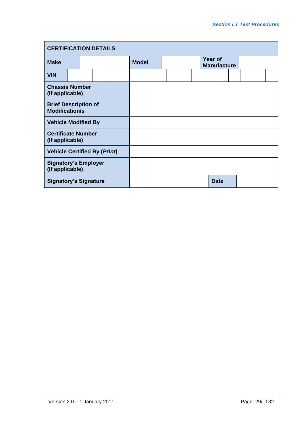| <b>CERTIFICATION DETAILS</b>                         |  |  |  |  |              |  |  |  |  |  |                               |  |             |  |  |
|------------------------------------------------------|--|--|--|--|--------------|--|--|--|--|--|-------------------------------|--|-------------|--|--|
| <b>Make</b>                                          |  |  |  |  | <b>Model</b> |  |  |  |  |  | Year of<br><b>Manufacture</b> |  |             |  |  |
| <b>VIN</b>                                           |  |  |  |  |              |  |  |  |  |  |                               |  |             |  |  |
| <b>Chassis Number</b><br>(If applicable)             |  |  |  |  |              |  |  |  |  |  |                               |  |             |  |  |
| <b>Brief Description of</b><br><b>Modification/s</b> |  |  |  |  |              |  |  |  |  |  |                               |  |             |  |  |
| <b>Vehicle Modified By</b>                           |  |  |  |  |              |  |  |  |  |  |                               |  |             |  |  |
| <b>Certificate Number</b><br>(If applicable)         |  |  |  |  |              |  |  |  |  |  |                               |  |             |  |  |
| <b>Vehicle Certified By (Print)</b>                  |  |  |  |  |              |  |  |  |  |  |                               |  |             |  |  |
| <b>Signatory's Employer</b><br>(If applicable)       |  |  |  |  |              |  |  |  |  |  |                               |  |             |  |  |
| <b>Signatory's Signature</b>                         |  |  |  |  |              |  |  |  |  |  |                               |  | <b>Date</b> |  |  |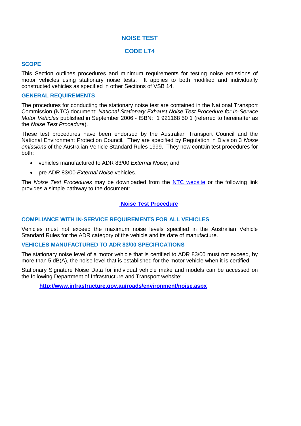#### **NOISE TEST**

#### **CODE LT4**

#### **SCOPE**

This Section outlines procedures and minimum requirements for testing noise emissions of motor vehicles using stationary noise tests. It applies to both modified and individually constructed vehicles as specified in other Sections of VSB 14.

#### **GENERAL REQUIREMENTS**

The procedures for conducting the stationary noise test are contained in the National Transport Commission (NTC) document: *National Stationary Exhaust Noise Test Procedure for In-Service Motor Vehicles* published in September 2006 - ISBN: 1 921168 50 1 (referred to hereinafter as the *Noise Test Procedure*).

These test procedures have been endorsed by the Australian Transport Council and the National Environment Protection Council. They are specified by Regulation in Division 3 *Noise emissions* of the Australian Vehicle Standard Rules 1999. They now contain test procedures for both:

- vehicles manufactured to ADR 83/00 *External Noise*; and
- pre ADR 83/00 *External Noise* vehicles.

The *Noise Test Procedures* may be downloaded from the [NTC website](http://www.ntc.gov.au/) or the following link provides a simple pathway to the document:

#### **[Noise Test Procedure](http://www.ntc.gov.au/Media/Reports/(9745A524-E60D-9B7C-835B-CDAF7DC19D8B).pdf)**

#### **COMPLIANCE WITH IN-SERVICE REQUIREMENTS FOR ALL VEHICLES**

Vehicles must not exceed the maximum noise levels specified in the Australian Vehicle Standard Rules for the ADR category of the vehicle and its date of manufacture.

#### **VEHICLES MANUFACTURED TO ADR 83/00 SPECIFICATIONS**

The stationary noise level of a motor vehicle that is certified to ADR 83/00 must not exceed, by more than 5 dB(A), the noise level that is established for the motor vehicle when it is certified.

Stationary Signature Noise Data for individual vehicle make and models can be accessed on the following Department of Infrastructure and Transport website:

**<http://www.infrastructure.gov.au/roads/environment/noise.aspx>**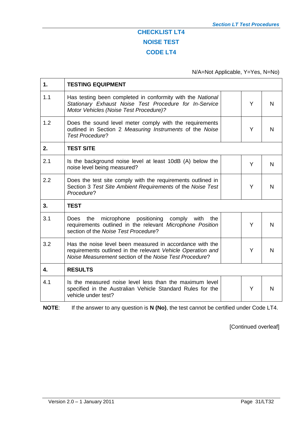## **CHECKLIST LT4 NOISE TEST CODE LT4**

## N/A=Not Applicable, Y=Yes, N=No)

| 1.  | <b>TESTING EQUIPMENT</b>                                                                                                                                                          |   |   |
|-----|-----------------------------------------------------------------------------------------------------------------------------------------------------------------------------------|---|---|
| 1.1 | Has testing been completed in conformity with the National<br>Stationary Exhaust Noise Test Procedure for In-Service<br>Motor Vehicles (Noise Test Procedure)?                    | Y | N |
| 1.2 | Does the sound level meter comply with the requirements<br>outlined in Section 2 Measuring Instruments of the Noise<br><b>Test Procedure?</b>                                     | Y | N |
| 2.  | <b>TEST SITE</b>                                                                                                                                                                  |   |   |
| 2.1 | Is the background noise level at least 10dB (A) below the<br>noise level being measured?                                                                                          | Y | N |
| 2.2 | Does the test site comply with the requirements outlined in<br>Section 3 Test Site Ambient Requirements of the Noise Test<br>Procedure?                                           | Y | N |
| 3.  | <b>TEST</b>                                                                                                                                                                       |   |   |
| 3.1 | microphone positioning<br>comply with<br>Does<br>the<br>the<br>requirements outlined in the relevant Microphone Position<br>section of the Noise Test Procedure?                  | Y | N |
| 3.2 | Has the noise level been measured in accordance with the<br>requirements outlined in the relevant Vehicle Operation and<br>Noise Measurement section of the Noise Test Procedure? | Y | N |
| 4.  | <b>RESULTS</b>                                                                                                                                                                    |   |   |
| 4.1 | Is the measured noise level less than the maximum level<br>specified in the Australian Vehicle Standard Rules for the<br>vehicle under test?                                      | Y | N |

**NOTE**: If the answer to any question is **N (No)**, the test cannot be certified under Code LT4.

[Continued overleaf]